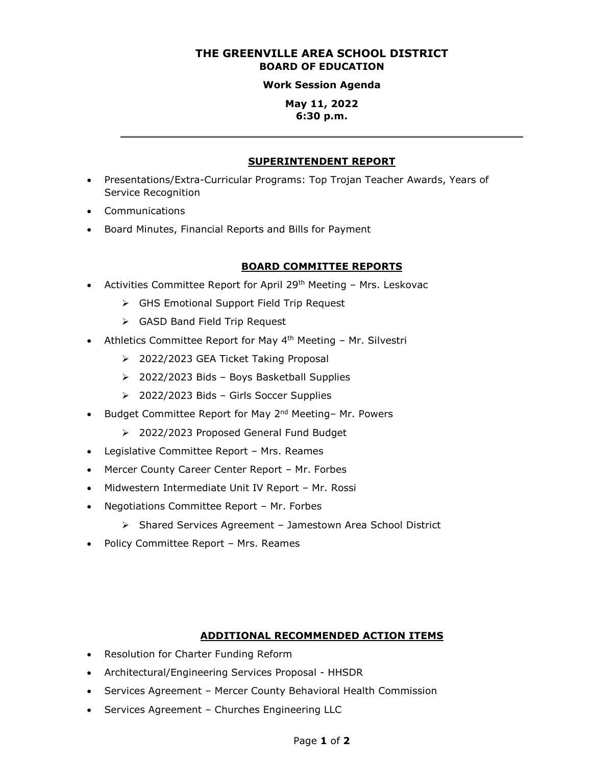# **THE GREENVILLE AREA SCHOOL DISTRICT BOARD OF EDUCATION**

#### **Work Session Agenda**

### **May 11, 2022 6:30 p.m.**

#### **SUPERINTENDENT REPORT**

- Presentations/Extra-Curricular Programs: Top Trojan Teacher Awards, Years of Service Recognition
- Communications
- Board Minutes, Financial Reports and Bills for Payment

#### **BOARD COMMITTEE REPORTS**

- Activities Committee Report for April 29<sup>th</sup> Meeting  $-$  Mrs. Leskovac
	- GHS Emotional Support Field Trip Request
	- GASD Band Field Trip Request
- Athletics Committee Report for May 4<sup>th</sup> Meeting Mr. Silvestri
	- > 2022/2023 GEA Ticket Taking Proposal
	- 2022/2023 Bids Boys Basketball Supplies
	- 2022/2023 Bids Girls Soccer Supplies
- Budget Committee Report for May 2<sup>nd</sup> Meeting- Mr. Powers
	- 2022/2023 Proposed General Fund Budget
- Legislative Committee Report Mrs. Reames
- Mercer County Career Center Report Mr. Forbes
- Midwestern Intermediate Unit IV Report Mr. Rossi
- Negotiations Committee Report Mr. Forbes
	- Shared Services Agreement Jamestown Area School District
- Policy Committee Report Mrs. Reames

#### **ADDITIONAL RECOMMENDED ACTION ITEMS**

- Resolution for Charter Funding Reform
- Architectural/Engineering Services Proposal HHSDR
- Services Agreement Mercer County Behavioral Health Commission
- Services Agreement Churches Engineering LLC